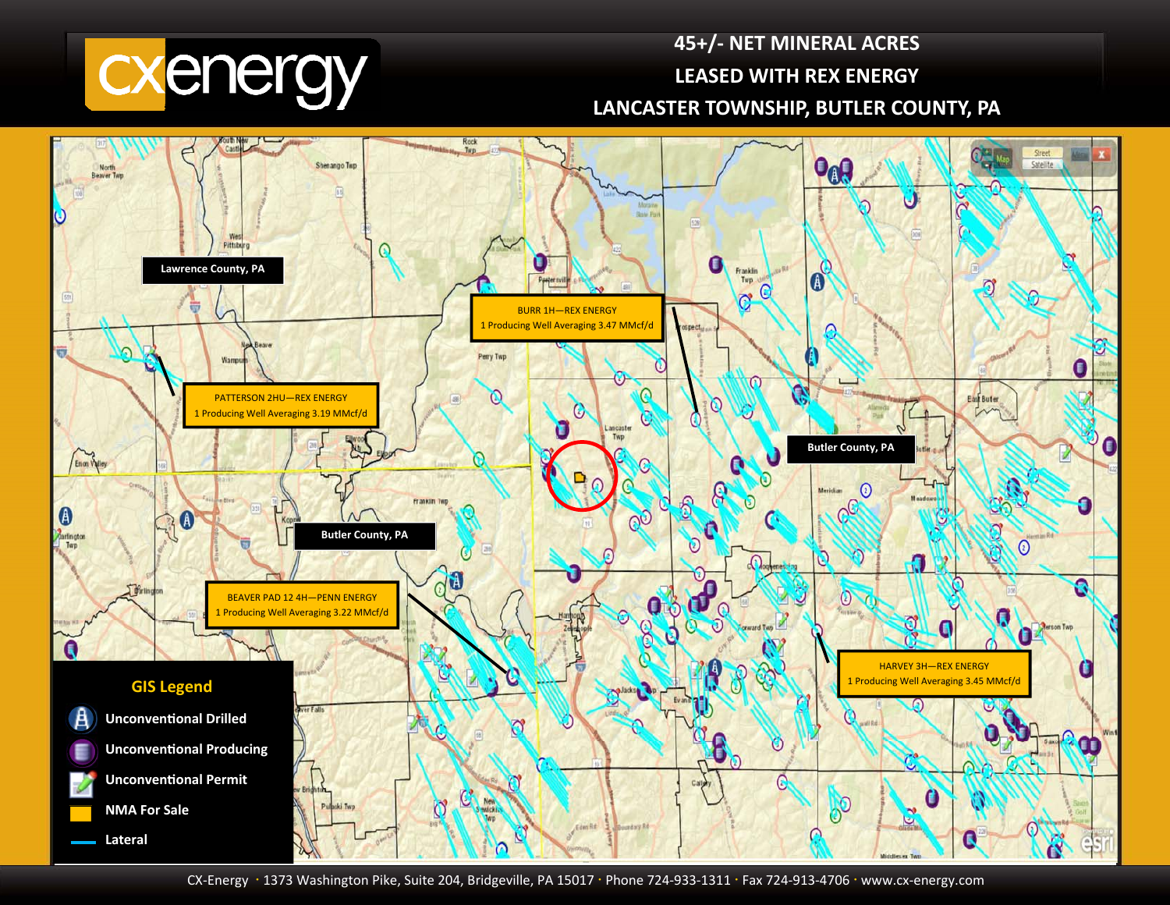

## **45+/‐ NET MINERAL ACRES LEASED WITH REX ENERGY LANCASTER TOWNSHIP, BUTLER COUNTY, PA**